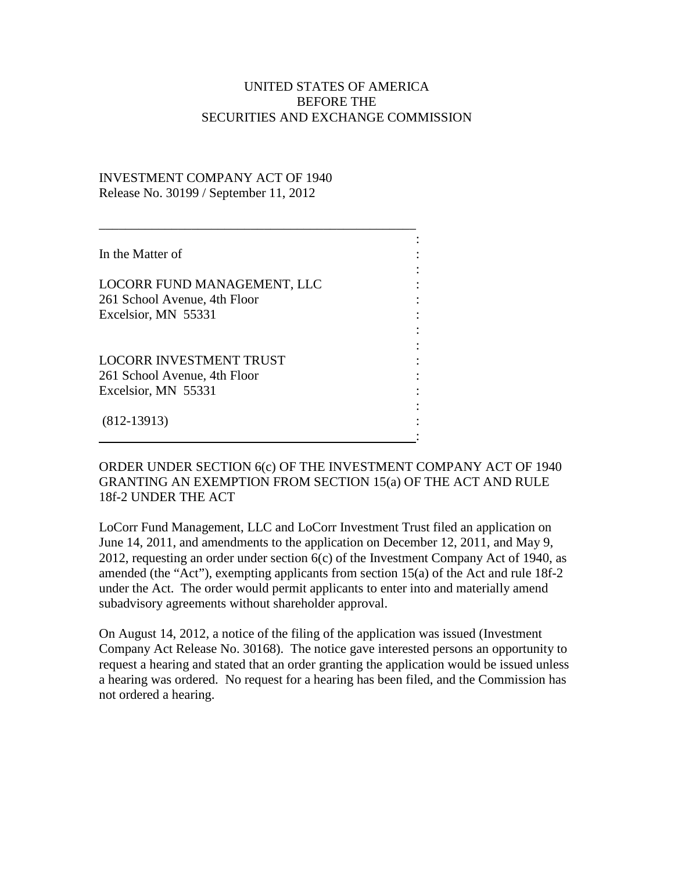## UNITED STATES OF AMERICA BEFORE THE SECURITIES AND EXCHANGE COMMISSION

## INVESTMENT COMPANY ACT OF 1940 Release No. 30199 / September 11, 2012

| In the Matter of                                                                      |  |
|---------------------------------------------------------------------------------------|--|
| LOCORR FUND MANAGEMENT, LLC<br>261 School Avenue, 4th Floor<br>Excelsior, MN 55331    |  |
| <b>LOCORR INVESTMENT TRUST</b><br>261 School Avenue, 4th Floor<br>Excelsior, MN 55331 |  |
| $(812-13913)$                                                                         |  |

ORDER UNDER SECTION 6(c) OF THE INVESTMENT COMPANY ACT OF 1940 GRANTING AN EXEMPTION FROM SECTION 15(a) OF THE ACT AND RULE 18f-2 UNDER THE ACT

LoCorr Fund Management, LLC and LoCorr Investment Trust filed an application on June 14, 2011, and amendments to the application on December 12, 2011, and May 9, 2012, requesting an order under section 6(c) of the Investment Company Act of 1940, as amended (the "Act"), exempting applicants from section 15(a) of the Act and rule 18f-2 under the Act. The order would permit applicants to enter into and materially amend subadvisory agreements without shareholder approval.

On August 14, 2012, a notice of the filing of the application was issued (Investment Company Act Release No. 30168). The notice gave interested persons an opportunity to request a hearing and stated that an order granting the application would be issued unless a hearing was ordered. No request for a hearing has been filed, and the Commission has not ordered a hearing.